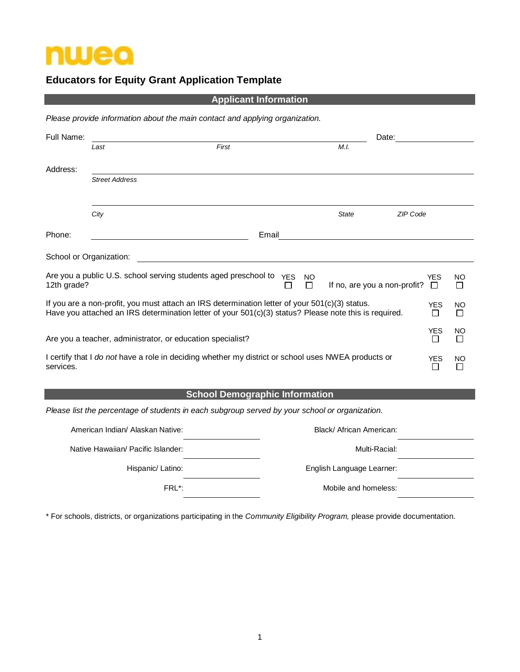

# **Educators for Equity Grant Application Template**

#### **Applicant Information**

*Please provide information about the main contact and applying organization.* 

| Full Name:              |                                                                 |                                                                                                                                                                                                         |                | Date:                        |                 |                            |                |
|-------------------------|-----------------------------------------------------------------|---------------------------------------------------------------------------------------------------------------------------------------------------------------------------------------------------------|----------------|------------------------------|-----------------|----------------------------|----------------|
|                         | Last                                                            | First                                                                                                                                                                                                   |                | M.I.                         |                 |                            |                |
| Address:                |                                                                 |                                                                                                                                                                                                         |                |                              |                 |                            |                |
|                         | <b>Street Address</b>                                           |                                                                                                                                                                                                         |                |                              |                 |                            |                |
|                         | City                                                            |                                                                                                                                                                                                         |                | <b>State</b>                 | <b>ZIP Code</b> |                            |                |
| Phone:                  |                                                                 | Email                                                                                                                                                                                                   |                |                              |                 |                            |                |
| School or Organization: |                                                                 |                                                                                                                                                                                                         |                |                              |                 |                            |                |
| 12th grade?             | Are you a public U.S. school serving students aged preschool to | <b>YES</b>                                                                                                                                                                                              | <b>NO</b><br>П | If no, are you a non-profit? |                 | <b>YES</b><br>$\Box$       | NO             |
|                         |                                                                 | If you are a non-profit, you must attach an IRS determination letter of your 501(c)(3) status.<br>Have you attached an IRS determination letter of your 501(c)(3) status? Please note this is required. |                |                              |                 | <b>YES</b><br>П            | <b>NO</b><br>П |
|                         | Are you a teacher, administrator, or education specialist?      |                                                                                                                                                                                                         |                |                              |                 | <b>YES</b><br>П            | <b>NO</b>      |
| services.               |                                                                 | I certify that I do not have a role in deciding whether my district or school uses NWEA products or                                                                                                     |                |                              |                 | <b>YES</b><br>$\mathbf{I}$ | <b>NO</b>      |

## **School Demographic Information**

*Please list the percentage of students in each subgroup served by your school or organization.*

| American Indian/ Alaskan Native:   | Black/African American:   |  |
|------------------------------------|---------------------------|--|
| Native Hawaiian/ Pacific Islander: | Multi-Racial:             |  |
| Hispanic/Latino:                   | English Language Learner: |  |
| FRL*:                              | Mobile and homeless:      |  |

\* For schools, districts, or organizations participating in the *Community Eligibility Program,* please provide documentation.